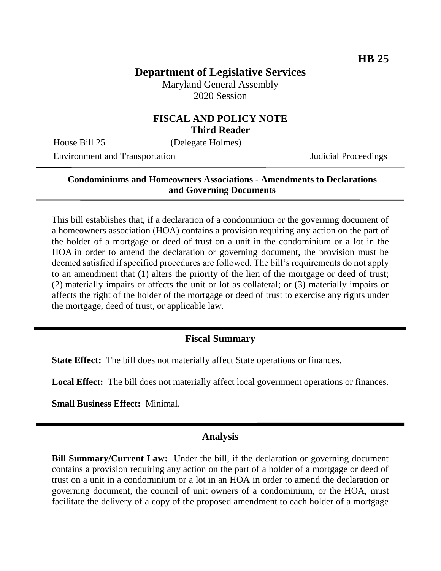# **Department of Legislative Services**

Maryland General Assembly 2020 Session

#### **FISCAL AND POLICY NOTE Third Reader**

House Bill 25 (Delegate Holmes)

Environment and Transportation Judicial Proceedings

#### **Condominiums and Homeowners Associations - Amendments to Declarations and Governing Documents**

This bill establishes that, if a declaration of a condominium or the governing document of a homeowners association (HOA) contains a provision requiring any action on the part of the holder of a mortgage or deed of trust on a unit in the condominium or a lot in the HOA in order to amend the declaration or governing document, the provision must be deemed satisfied if specified procedures are followed. The bill's requirements do not apply to an amendment that (1) alters the priority of the lien of the mortgage or deed of trust; (2) materially impairs or affects the unit or lot as collateral; or (3) materially impairs or affects the right of the holder of the mortgage or deed of trust to exercise any rights under the mortgage, deed of trust, or applicable law.

## **Fiscal Summary**

**State Effect:** The bill does not materially affect State operations or finances.

**Local Effect:** The bill does not materially affect local government operations or finances.

**Small Business Effect:** Minimal.

### **Analysis**

**Bill Summary/Current Law:** Under the bill, if the declaration or governing document contains a provision requiring any action on the part of a holder of a mortgage or deed of trust on a unit in a condominium or a lot in an HOA in order to amend the declaration or governing document, the council of unit owners of a condominium, or the HOA, must facilitate the delivery of a copy of the proposed amendment to each holder of a mortgage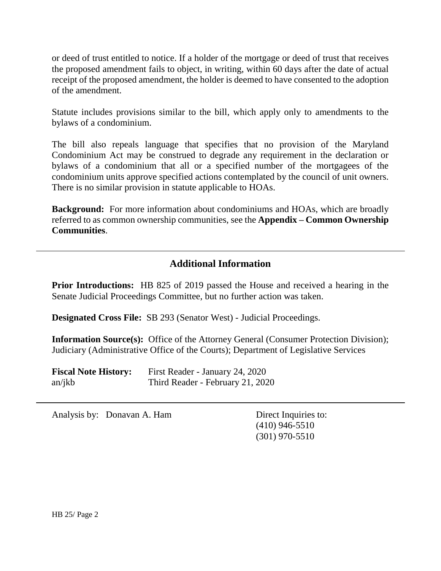or deed of trust entitled to notice. If a holder of the mortgage or deed of trust that receives the proposed amendment fails to object, in writing, within 60 days after the date of actual receipt of the proposed amendment, the holder is deemed to have consented to the adoption of the amendment.

Statute includes provisions similar to the bill, which apply only to amendments to the bylaws of a condominium.

The bill also repeals language that specifies that no provision of the Maryland Condominium Act may be construed to degrade any requirement in the declaration or bylaws of a condominium that all or a specified number of the mortgagees of the condominium units approve specified actions contemplated by the council of unit owners. There is no similar provision in statute applicable to HOAs.

**Background:** For more information about condominiums and HOAs, which are broadly referred to as common ownership communities, see the **Appendix – Common Ownership Communities**.

## **Additional Information**

**Prior Introductions:** HB 825 of 2019 passed the House and received a hearing in the Senate Judicial Proceedings Committee, but no further action was taken.

**Designated Cross File:** SB 293 (Senator West) - Judicial Proceedings.

**Information Source(s):** Office of the Attorney General (Consumer Protection Division); Judiciary (Administrative Office of the Courts); Department of Legislative Services

| <b>Fiscal Note History:</b> | First Reader - January 24, 2020  |
|-----------------------------|----------------------------------|
| an/ikb                      | Third Reader - February 21, 2020 |

Analysis by: Donavan A. Ham Direct Inquiries to:

(410) 946-5510 (301) 970-5510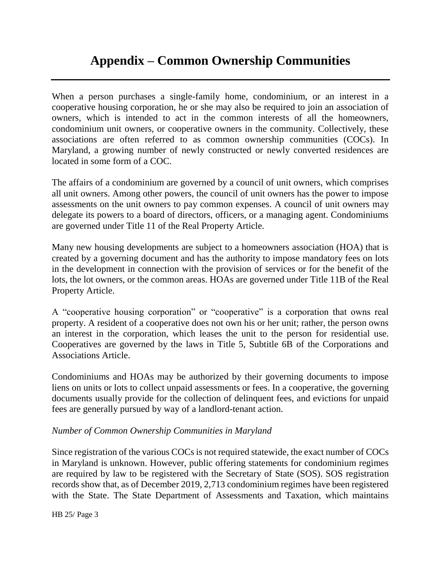# **Appendix – Common Ownership Communities**

When a person purchases a single-family home, condominium, or an interest in a cooperative housing corporation, he or she may also be required to join an association of owners, which is intended to act in the common interests of all the homeowners, condominium unit owners, or cooperative owners in the community. Collectively, these associations are often referred to as common ownership communities (COCs). In Maryland, a growing number of newly constructed or newly converted residences are located in some form of a COC.

The affairs of a condominium are governed by a council of unit owners, which comprises all unit owners. Among other powers, the council of unit owners has the power to impose assessments on the unit owners to pay common expenses. A council of unit owners may delegate its powers to a board of directors, officers, or a managing agent. Condominiums are governed under Title 11 of the Real Property Article.

Many new housing developments are subject to a homeowners association (HOA) that is created by a governing document and has the authority to impose mandatory fees on lots in the development in connection with the provision of services or for the benefit of the lots, the lot owners, or the common areas. HOAs are governed under Title 11B of the Real Property Article.

A "cooperative housing corporation" or "cooperative" is a corporation that owns real property. A resident of a cooperative does not own his or her unit; rather, the person owns an interest in the corporation, which leases the unit to the person for residential use. Cooperatives are governed by the laws in Title 5, Subtitle 6B of the Corporations and Associations Article.

Condominiums and HOAs may be authorized by their governing documents to impose liens on units or lots to collect unpaid assessments or fees. In a cooperative, the governing documents usually provide for the collection of delinquent fees, and evictions for unpaid fees are generally pursued by way of a landlord-tenant action.

#### *Number of Common Ownership Communities in Maryland*

Since registration of the various COCs is not required statewide, the exact number of COCs in Maryland is unknown. However, public offering statements for condominium regimes are required by law to be registered with the Secretary of State (SOS). SOS registration records show that, as of December 2019, 2,713 condominium regimes have been registered with the State. The State Department of Assessments and Taxation, which maintains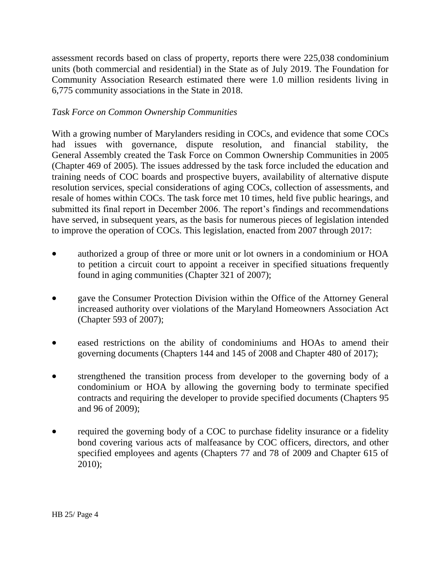assessment records based on class of property, reports there were 225,038 condominium units (both commercial and residential) in the State as of July 2019. The Foundation for Community Association Research estimated there were 1.0 million residents living in 6,775 community associations in the State in 2018.

### *Task Force on Common Ownership Communities*

With a growing number of Marylanders residing in COCs, and evidence that some COCs had issues with governance, dispute resolution, and financial stability, the General Assembly created the Task Force on Common Ownership Communities in 2005 (Chapter 469 of 2005). The issues addressed by the task force included the education and training needs of COC boards and prospective buyers, availability of alternative dispute resolution services, special considerations of aging COCs, collection of assessments, and resale of homes within COCs. The task force met 10 times, held five public hearings, and submitted its final report in December 2006. The report's findings and recommendations have served, in subsequent years, as the basis for numerous pieces of legislation intended to improve the operation of COCs. This legislation, enacted from 2007 through 2017:

- authorized a group of three or more unit or lot owners in a condominium or HOA to petition a circuit court to appoint a receiver in specified situations frequently found in aging communities (Chapter 321 of 2007);
- gave the Consumer Protection Division within the Office of the Attorney General increased authority over violations of the Maryland Homeowners Association Act (Chapter 593 of 2007);
- eased restrictions on the ability of condominiums and HOAs to amend their governing documents (Chapters 144 and 145 of 2008 and Chapter 480 of 2017);
- strengthened the transition process from developer to the governing body of a condominium or HOA by allowing the governing body to terminate specified contracts and requiring the developer to provide specified documents (Chapters 95 and 96 of 2009);
- required the governing body of a COC to purchase fidelity insurance or a fidelity bond covering various acts of malfeasance by COC officers, directors, and other specified employees and agents (Chapters 77 and 78 of 2009 and Chapter 615 of 2010);